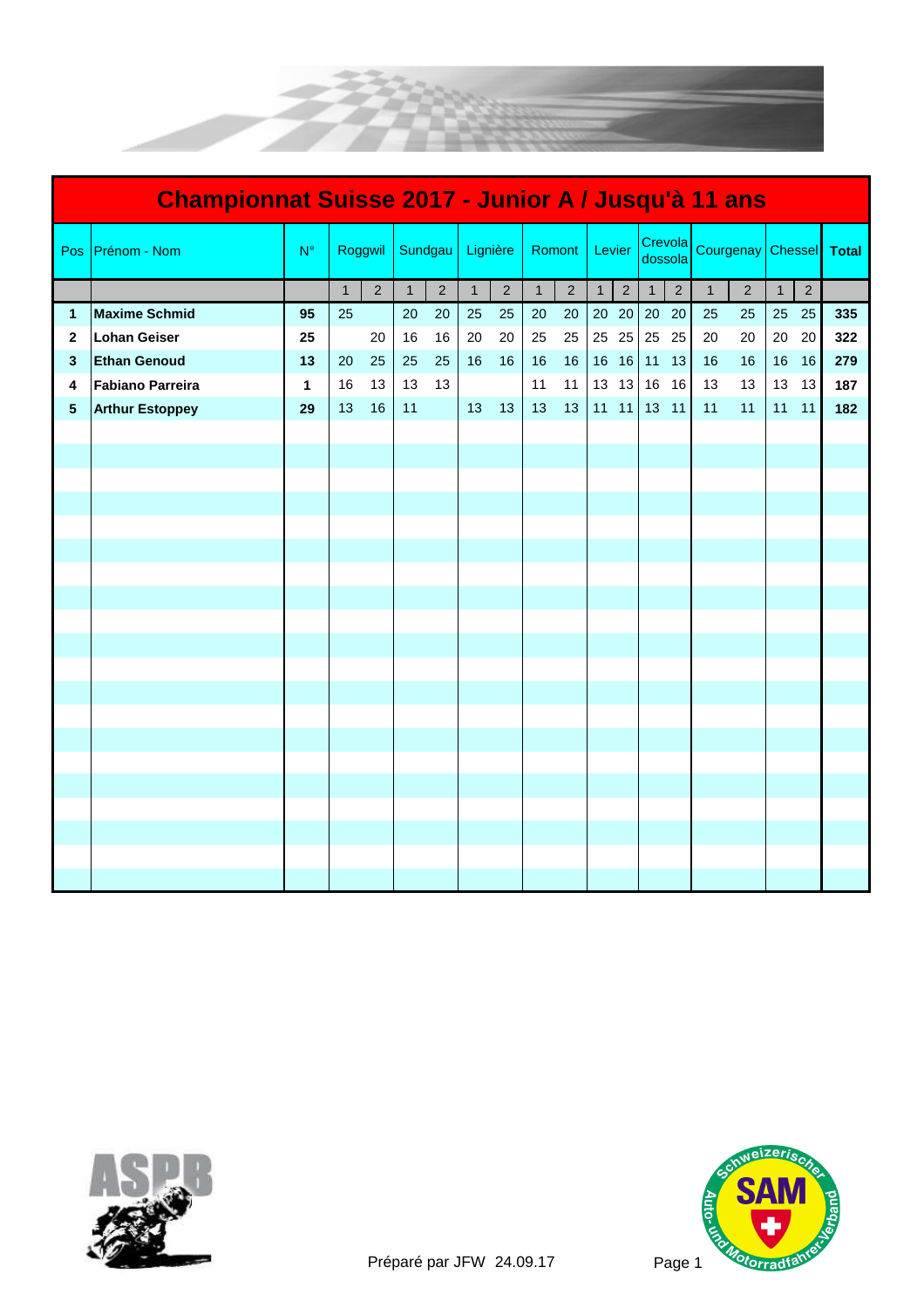

| Championnat Suisse 2017 - Junior A / Jusqu'à 11 ans |                         |              |              |             |              |                |              |                |              |                |        |                 |                    |                |           |                |               |                |     |
|-----------------------------------------------------|-------------------------|--------------|--------------|-------------|--------------|----------------|--------------|----------------|--------------|----------------|--------|-----------------|--------------------|----------------|-----------|----------------|---------------|----------------|-----|
| Pos                                                 | Prénom - Nom            | $N^{\circ}$  | Roggwil      |             | Sundgau      |                | Lignière     |                | Romont       |                | Levier |                 | Crevola<br>dossola |                | Courgenay |                | Chessel Total |                |     |
|                                                     |                         |              | $\mathbf{1}$ | $2^{\circ}$ | $\mathbf{1}$ | $\overline{2}$ | $\mathbf{1}$ | $\overline{2}$ | $\mathbf{1}$ | $\overline{2}$ |        | $1 \mid 2 \mid$ | $\mathbf{1}$       | $\overline{2}$ | 1         | $\overline{2}$ | $\mathbf{1}$  | $\overline{2}$ |     |
| $\mathbf{1}$                                        | <b>Maxime Schmid</b>    | 95           | 25           |             | 20           | 20             | 25           | 25             | $20\,$       | 20             |        |                 | 20 20 20 20        |                | 25        | 25             |               | 25 25          | 335 |
| 2                                                   | <b>Lohan Geiser</b>     | 25           |              | 20          | 16           | 16             | 20           | 20             | 25           | 25             |        | 25 25 25        |                    | 25             | 20        | 20             | 20            | 20             | 322 |
| $\mathbf{3}$                                        | <b>Ethan Genoud</b>     | 13           | 20           | 25          | 25           | 25             | 16           | 16             | 16           | 16             |        | 16 16 11        |                    | 13             | 16        | 16             | 16            | 16             | 279 |
| 4                                                   | <b>Fabiano Parreira</b> | $\mathbf{1}$ | 16           | 13          | 13           | 13             |              |                | 11           | 11             |        | 13 13 16        |                    | 16             | 13        | 13             | 13            | 13             | 187 |
| 5                                                   | <b>Arthur Estoppey</b>  | 29           | 13           | 16          | 11           |                | 13           | 13             | 13           | 13             |        |                 | 11 11 13 11        |                | 11        | 11             | 11            | 11             | 182 |
|                                                     |                         |              |              |             |              |                |              |                |              |                |        |                 |                    |                |           |                |               |                |     |
|                                                     |                         |              |              |             |              |                |              |                |              |                |        |                 |                    |                |           |                |               |                |     |
|                                                     |                         |              |              |             |              |                |              |                |              |                |        |                 |                    |                |           |                |               |                |     |
|                                                     |                         |              |              |             |              |                |              |                |              |                |        |                 |                    |                |           |                |               |                |     |
|                                                     |                         |              |              |             |              |                |              |                |              |                |        |                 |                    |                |           |                |               |                |     |
|                                                     |                         |              |              |             |              |                |              |                |              |                |        |                 |                    |                |           |                |               |                |     |
|                                                     |                         |              |              |             |              |                |              |                |              |                |        |                 |                    |                |           |                |               |                |     |
|                                                     |                         |              |              |             |              |                |              |                |              |                |        |                 |                    |                |           |                |               |                |     |
|                                                     |                         |              |              |             |              |                |              |                |              |                |        |                 |                    |                |           |                |               |                |     |
|                                                     |                         |              |              |             |              |                |              |                |              |                |        |                 |                    |                |           |                |               |                |     |
|                                                     |                         |              |              |             |              |                |              |                |              |                |        |                 |                    |                |           |                |               |                |     |
|                                                     |                         |              |              |             |              |                |              |                |              |                |        |                 |                    |                |           |                |               |                |     |
|                                                     |                         |              |              |             |              |                |              |                |              |                |        |                 |                    |                |           |                |               |                |     |
|                                                     |                         |              |              |             |              |                |              |                |              |                |        |                 |                    |                |           |                |               |                |     |
|                                                     |                         |              |              |             |              |                |              |                |              |                |        |                 |                    |                |           |                |               |                |     |
|                                                     |                         |              |              |             |              |                |              |                |              |                |        |                 |                    |                |           |                |               |                |     |
|                                                     |                         |              |              |             |              |                |              |                |              |                |        |                 |                    |                |           |                |               |                |     |
|                                                     |                         |              |              |             |              |                |              |                |              |                |        |                 |                    |                |           |                |               |                |     |
|                                                     |                         |              |              |             |              |                |              |                |              |                |        |                 |                    |                |           |                |               |                |     |
|                                                     |                         |              |              |             |              |                |              |                |              |                |        |                 |                    |                |           |                |               |                |     |



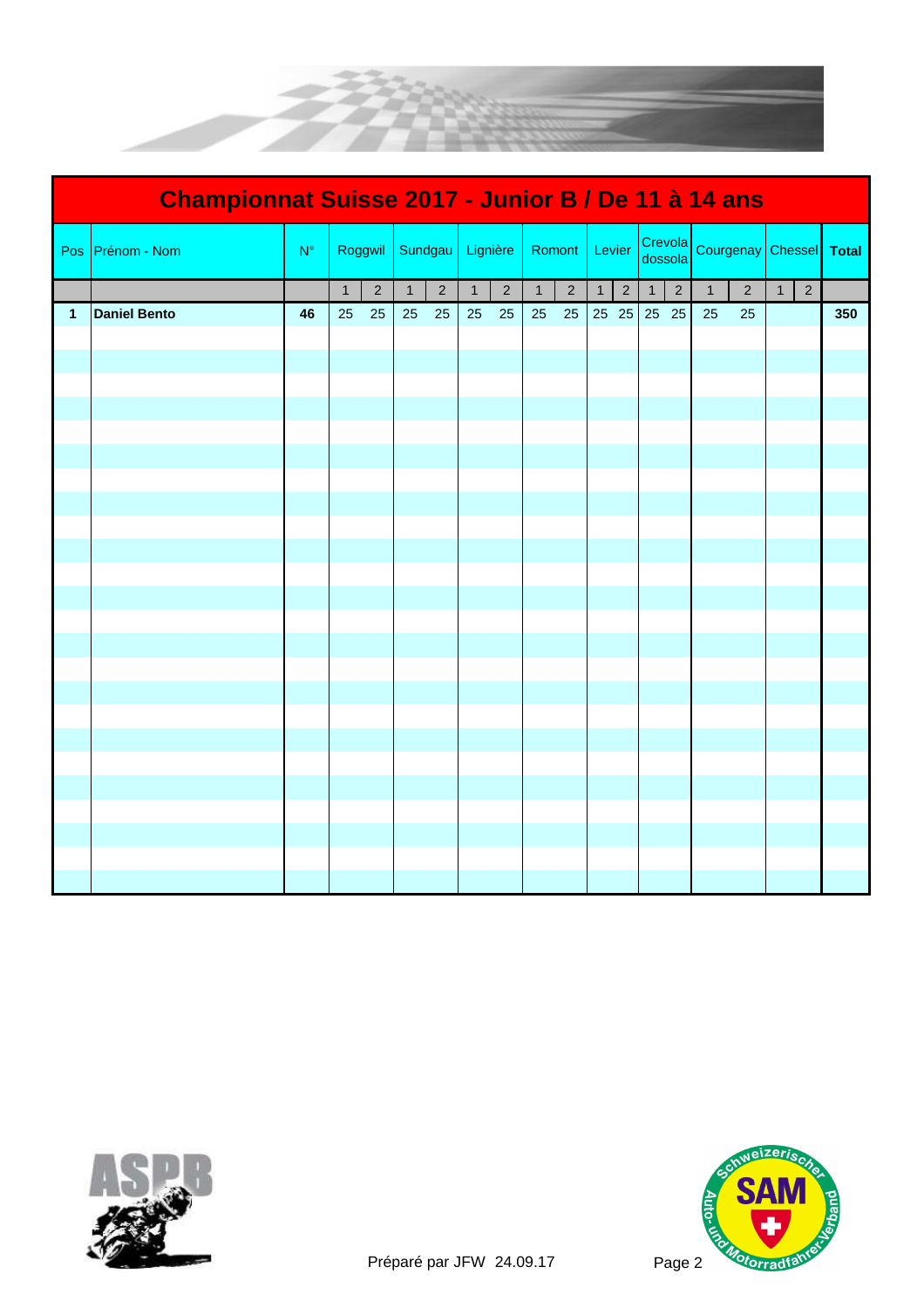

| Championnat Suisse 2017 - Junior B / De 11 à 14 ans |                     |             |              |                |              |                |          |                |              |                |        |                 |                    |                |              |                |                |                |     |
|-----------------------------------------------------|---------------------|-------------|--------------|----------------|--------------|----------------|----------|----------------|--------------|----------------|--------|-----------------|--------------------|----------------|--------------|----------------|----------------|----------------|-----|
| Pos                                                 | Prénom - Nom        | $N^{\circ}$ | Roggwil      |                | Sundgau      |                | Lignière |                | Romont       |                | Levier |                 | Crevola<br>dossola |                | Courgenay    |                | Chessel Total  |                |     |
|                                                     |                     |             | $\mathbf{1}$ | $\overline{2}$ | $\mathbf{1}$ | $\overline{2}$ | 1        | $\overline{2}$ | $\mathbf{1}$ | $\overline{2}$ |        | $1 \mid 2 \mid$ | $\mathbf{1}$       | $\overline{2}$ | $\mathbf{1}$ | $\overline{2}$ | 1 <sup>1</sup> | $\overline{2}$ |     |
| $\mathbf{1}$                                        | <b>Daniel Bento</b> | 46          | 25           | 25             | 25           | 25             | 25       | 25             | 25           | 25             |        |                 | 25 25 25 25        |                | 25           | 25             |                |                | 350 |
|                                                     |                     |             |              |                |              |                |          |                |              |                |        |                 |                    |                |              |                |                |                |     |
|                                                     |                     |             |              |                |              |                |          |                |              |                |        |                 |                    |                |              |                |                |                |     |
|                                                     |                     |             |              |                |              |                |          |                |              |                |        |                 |                    |                |              |                |                |                |     |
|                                                     |                     |             |              |                |              |                |          |                |              |                |        |                 |                    |                |              |                |                |                |     |
|                                                     |                     |             |              |                |              |                |          |                |              |                |        |                 |                    |                |              |                |                |                |     |
|                                                     |                     |             |              |                |              |                |          |                |              |                |        |                 |                    |                |              |                |                |                |     |
|                                                     |                     |             |              |                |              |                |          |                |              |                |        |                 |                    |                |              |                |                |                |     |
|                                                     |                     |             |              |                |              |                |          |                |              |                |        |                 |                    |                |              |                |                |                |     |
|                                                     |                     |             |              |                |              |                |          |                |              |                |        |                 |                    |                |              |                |                |                |     |
|                                                     |                     |             |              |                |              |                |          |                |              |                |        |                 |                    |                |              |                |                |                |     |
|                                                     |                     |             |              |                |              |                |          |                |              |                |        |                 |                    |                |              |                |                |                |     |
|                                                     |                     |             |              |                |              |                |          |                |              |                |        |                 |                    |                |              |                |                |                |     |
|                                                     |                     |             |              |                |              |                |          |                |              |                |        |                 |                    |                |              |                |                |                |     |
|                                                     |                     |             |              |                |              |                |          |                |              |                |        |                 |                    |                |              |                |                |                |     |
|                                                     |                     |             |              |                |              |                |          |                |              |                |        |                 |                    |                |              |                |                |                |     |
|                                                     |                     |             |              |                |              |                |          |                |              |                |        |                 |                    |                |              |                |                |                |     |
|                                                     |                     |             |              |                |              |                |          |                |              |                |        |                 |                    |                |              |                |                |                |     |
|                                                     |                     |             |              |                |              |                |          |                |              |                |        |                 |                    |                |              |                |                |                |     |
|                                                     |                     |             |              |                |              |                |          |                |              |                |        |                 |                    |                |              |                |                |                |     |
|                                                     |                     |             |              |                |              |                |          |                |              |                |        |                 |                    |                |              |                |                |                |     |
|                                                     |                     |             |              |                |              |                |          |                |              |                |        |                 |                    |                |              |                |                |                |     |
|                                                     |                     |             |              |                |              |                |          |                |              |                |        |                 |                    |                |              |                |                |                |     |
|                                                     |                     |             |              |                |              |                |          |                |              |                |        |                 |                    |                |              |                |                |                |     |



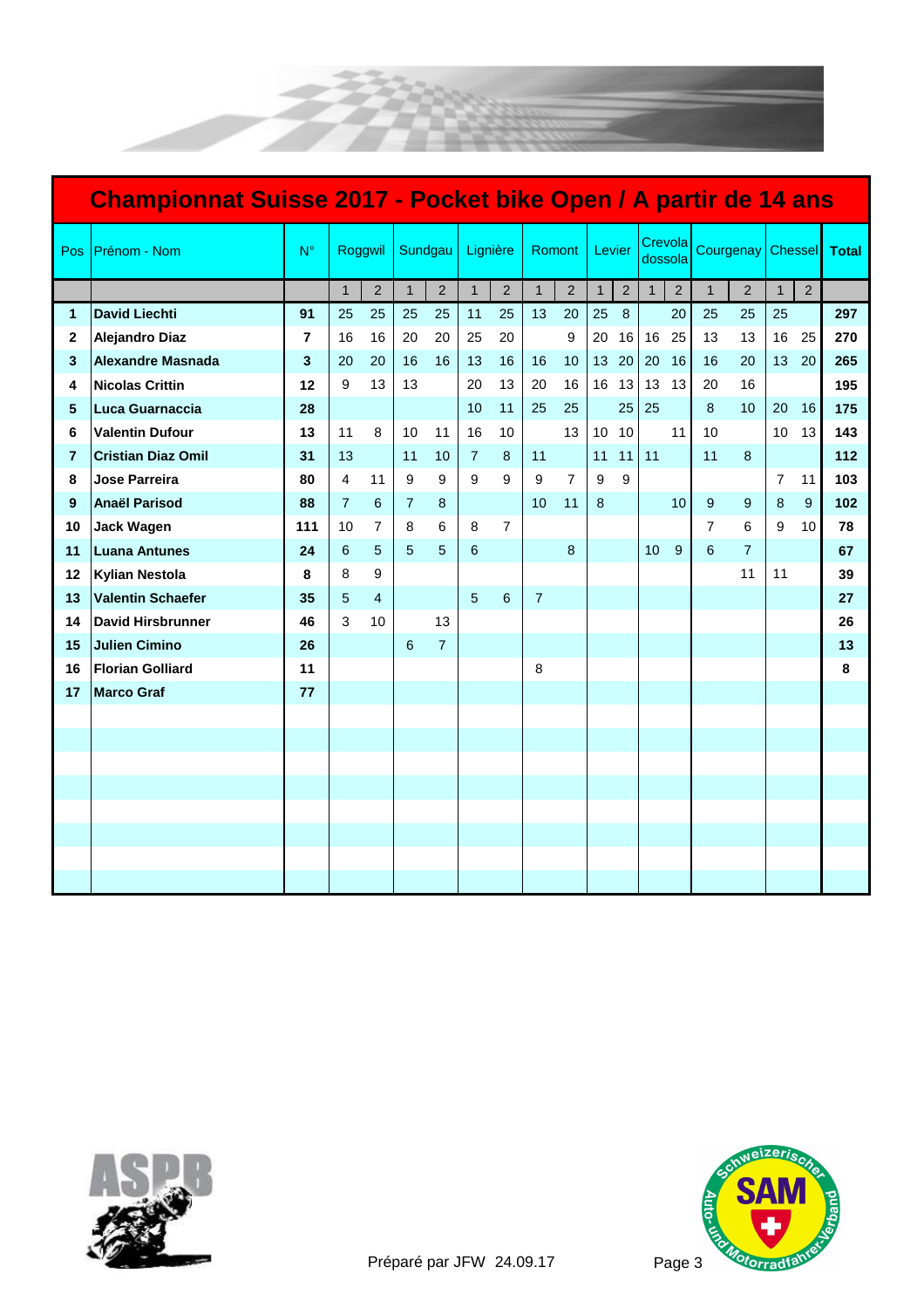



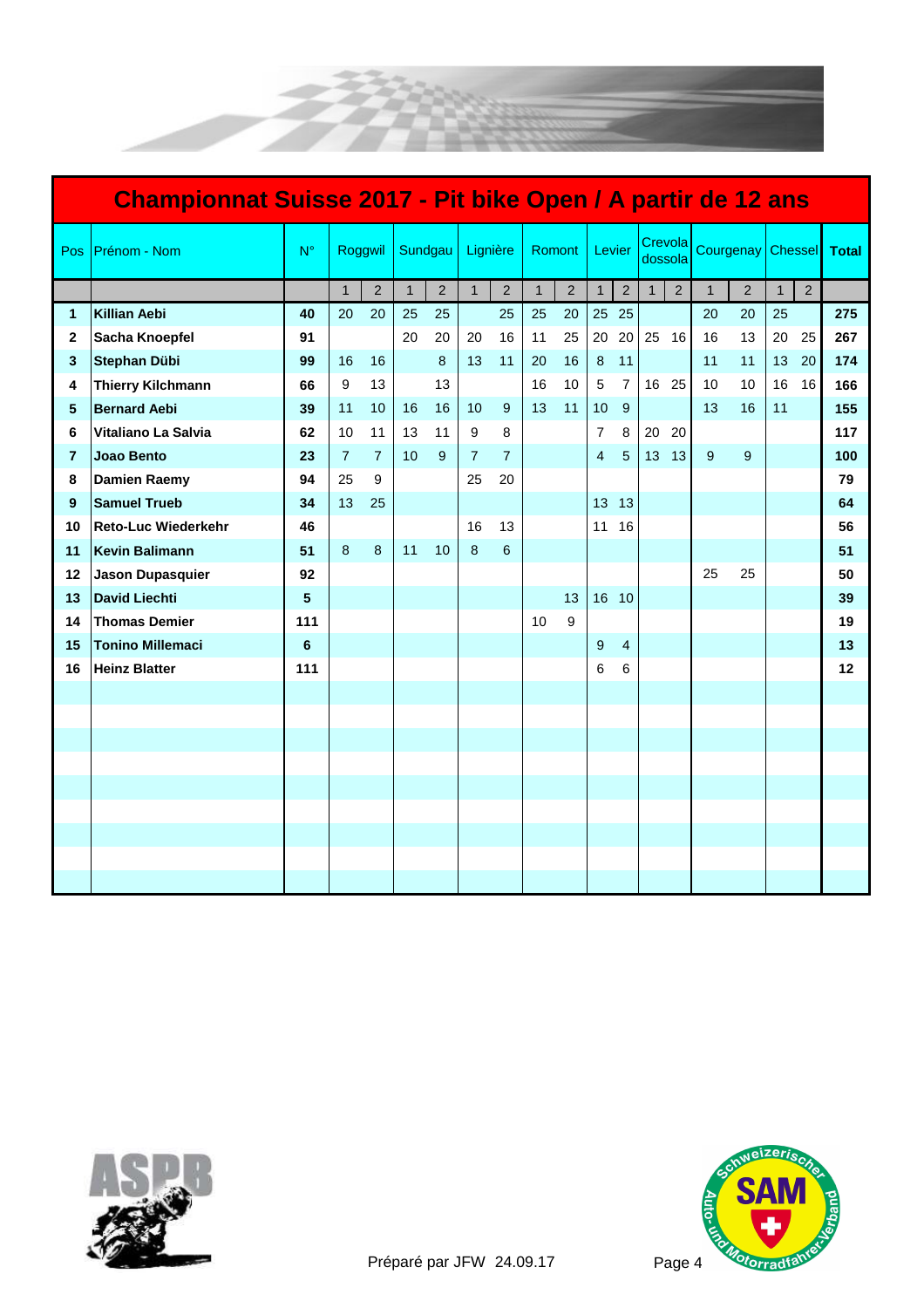